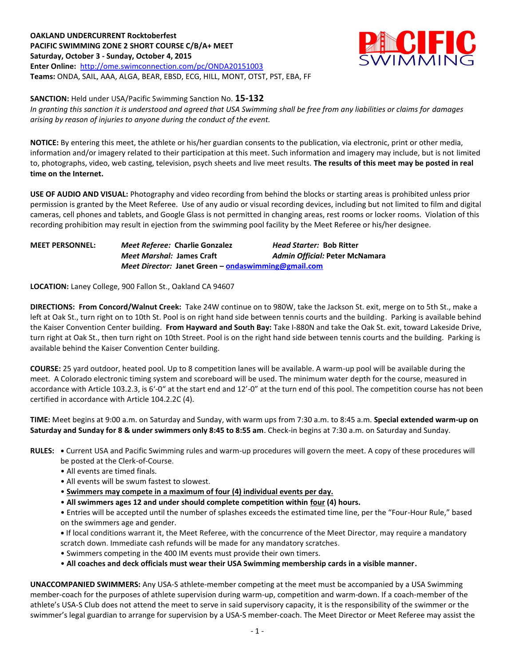**OAKLAND UNDERCURRENT Rocktoberfest PACIFIC SWIMMING ZONE 2 SHORT COURSE C/B/A+ MEET Saturday, October 3 - Sunday, October 4, 2015 Enter Online:** <http://ome.swimconnection.com/pc/ONDA20151003> **Teams:** ONDA, SAIL, AAA, ALGA, BEAR, EBSD, ECG, HILL, MONT, OTST, PST, EBA, FF



**SANCTION:** Held under USA/Pacific Swimming Sanction No. **15-132** *In granting this sanction it is understood and agreed that USA Swimming shall be free from any liabilities or claims for damages arising by reason of injuries to anyone during the conduct of the event.*

**NOTICE:** By entering this meet, the athlete or his/her guardian consents to the publication, via electronic, print or other media, information and/or imagery related to their participation at this meet. Such information and imagery may include, but is not limited to, photographs, video, web casting, television, psych sheets and live meet results. **The results of this meet may be posted in real time on the Internet.**

**USE OF AUDIO AND VISUAL:** Photography and video recording from behind the blocks or starting areas is prohibited unless prior permission is granted by the Meet Referee. Use of any audio or visual recording devices, including but not limited to film and digital cameras, cell phones and tablets, and Google Glass is not permitted in changing areas, rest rooms or locker rooms. Violation of this recording prohibition may result in ejection from the swimming pool facility by the Meet Referee or his/her designee.

**MEET PERSONNEL:** *Meet Referee:* **Charlie Gonzalez** *Head Starter:* **Bob Ritter** *Meet Marshal:* **James Craft** *Admin Official:* **Peter McNamara** *Meet Director:* **Janet Green – [ondaswimming@gmail.com](mailto:ondaswimming@gmail.com)**

## **LOCATION:** Laney College, 900 Fallon St., Oakland CA 94607

**DIRECTIONS: From Concord/Walnut Creek:** Take 24W continue on to 980W, take the Jackson St. exit, merge on to 5th St., make a left at Oak St., turn right on to 10th St. Pool is on right hand side between tennis courts and the building. Parking is available behind the Kaiser Convention Center building. **From Hayward and South Bay:** Take I-880N and take the Oak St. exit, toward Lakeside Drive, turn right at Oak St., then turn right on 10th Street. Pool is on the right hand side between tennis courts and the building. Parking is available behind the Kaiser Convention Center building.

**COURSE:** 25 yard outdoor, heated pool. Up to 8 competition lanes will be available. A warm-up pool will be available during the meet. A Colorado electronic timing system and scoreboard will be used. The minimum water depth for the course, measured in accordance with Article 103.2.3, is 6'-0" at the start end and 12'-0" at the turn end of this pool. The competition course has not been certified in accordance with Article 104.2.2C (4).

**TIME:** Meet begins at 9:00 a.m. on Saturday and Sunday, with warm ups from 7:30 a.m. to 8:45 a.m. **Special extended warm-up on Saturday and Sunday for 8 & under swimmers only 8:45 to 8:55 am**. Check-in begins at 7:30 a.m. on Saturday and Sunday.

- **RULES: •** Current USA and Pacific Swimming rules and warm-up procedures will govern the meet. A copy of these procedures will be posted at the Clerk-of-Course.
	- All events are timed finals.
	- All events will be swum fastest to slowest.
	- **Swimmers may compete in a maximum of four (4) individual events per day.**
	- **All swimmers ages 12 and under should complete competition within four (4) hours.**

• Entries will be accepted until the number of splashes exceeds the estimated time line, per the "Four-Hour Rule," based on the swimmers age and gender.

**•** If local conditions warrant it, the Meet Referee, with the concurrence of the Meet Director, may require a mandatory scratch down. Immediate cash refunds will be made for any mandatory scratches.

- Swimmers competing in the 400 IM events must provide their own timers.
- **All coaches and deck officials must wear their USA Swimming membership cards in a visible manner.**

**UNACCOMPANIED SWIMMERS:** Any USA-S athlete-member competing at the meet must be accompanied by a USA Swimming member-coach for the purposes of athlete supervision during warm-up, competition and warm-down. If a coach-member of the athlete's USA-S Club does not attend the meet to serve in said supervisory capacity, it is the responsibility of the swimmer or the swimmer's legal guardian to arrange for supervision by a USA-S member-coach. The Meet Director or Meet Referee may assist the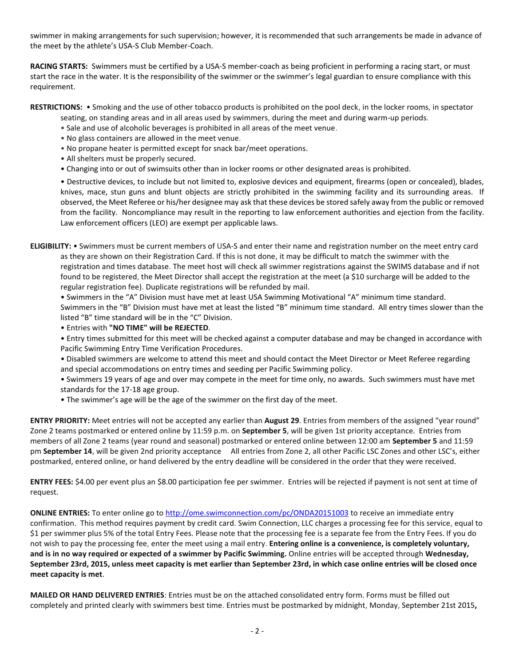swimmer in making arrangements for such supervision; however, it is recommended that such arrangements be made in advance of the meet by the athlete's USA-S Club Member-Coach.

**RACING STARTS:** Swimmers must be certified by a USA-S member-coach as being proficient in performing a racing start, or must start the race in the water. It is the responsibility of the swimmer or the swimmer's legal guardian to ensure compliance with this requirement.

**RESTRICTIONS:** • Smoking and the use of other tobacco products is prohibited on the pool deck, in the locker rooms, in spectator

- seating, on standing areas and in all areas used by swimmers, during the meet and during warm-up periods.
- Sale and use of alcoholic beverages is prohibited in all areas of the meet venue.
- No glass containers are allowed in the meet venue.
- No propane heater is permitted except for snack bar/meet operations.
- All shelters must be properly secured.
- Changing into or out of swimsuits other than in locker rooms or other designated areas is prohibited.

• Destructive devices, to include but not limited to, explosive devices and equipment, firearms (open or concealed), blades, knives, mace, stun guns and blunt objects are strictly prohibited in the swimming facility and its surrounding areas. If observed, the Meet Referee or his/her designee may ask that these devices be stored safely away from the public or removed from the facility. Noncompliance may result in the reporting to law enforcement authorities and ejection from the facility. Law enforcement officers (LEO) are exempt per applicable laws.

**ELIGIBILITY:** • Swimmers must be current members of USA-S and enter their name and registration number on the meet entry card as they are shown on their Registration Card. If this is not done, it may be difficult to match the swimmer with the registration and times database. The meet host will check all swimmer registrations against the SWIMS database and if not found to be registered, the Meet Director shall accept the registration at the meet (a \$10 surcharge will be added to the regular registration fee). Duplicate registrations will be refunded by mail.

• Swimmers in the "A" Division must have met at least USA Swimming Motivational "A" minimum time standard. Swimmers in the "B" Division must have met at least the listed "B" minimum time standard. All entry times slower than the listed "B" time standard will be in the "C" Division.

- Entries with **"NO TIME" will be REJECTED**.
- Entry times submitted for this meet will be checked against a computer database and may be changed in accordance with Pacific Swimming Entry Time Verification Procedures.

• Disabled swimmers are welcome to attend this meet and should contact the Meet Director or Meet Referee regarding and special accommodations on entry times and seeding per Pacific Swimming policy.

• Swimmers 19 years of age and over may compete in the meet for time only, no awards. Such swimmers must have met standards for the 17-18 age group.

• The swimmer's age will be the age of the swimmer on the first day of the meet.

**ENTRY PRIORITY:** Meet entries will not be accepted any earlier than **August 29**. Entries from members of the assigned "year round" Zone 2 teams postmarked or entered online by 11:59 p.m. on **September 5**, will be given 1st priority acceptance. Entries from members of all Zone 2 teams (year round and seasonal) postmarked or entered online between 12:00 am **September 5** and 11:59 pm **September 14**, will be given 2nd priority acceptance All entries from Zone 2, all other Pacific LSC Zones and other LSC's, either postmarked, entered online, or hand delivered by the entry deadline will be considered in the order that they were received.

**ENTRY FEES:** \$4.00 per event plus an \$8.00 participation fee per swimmer. Entries will be rejected if payment is not sent at time of request.

**ONLINE ENTRIES:** To enter online go t[o http://ome.swimconnection.com/pc/ONDA20151003](http://ome.swimconnection.com/pc/ONDA20151003) to receive an immediate entry confirmation. This method requires payment by credit card. Swim Connection, LLC charges a processing fee for this service, equal to \$1 per swimmer plus 5% of the total Entry Fees. Please note that the processing fee is a separate fee from the Entry Fees. If you do not wish to pay the processing fee, enter the meet using a mail entry. **Entering online is a convenience, is completely voluntary, and is in no way required or expected of a swimmer by Pacific Swimming.** Online entries will be accepted through **Wednesday, September 23rd, 2015, unless meet capacity is met earlier than September 23rd, in which case online entries will be closed once meet capacity is met**.

**MAILED OR HAND DELIVERED ENTRIES**: Entries must be on the attached consolidated entry form. Forms must be filled out completely and printed clearly with swimmers best time. Entries must be postmarked by midnight, Monday, September 21st 2015**,**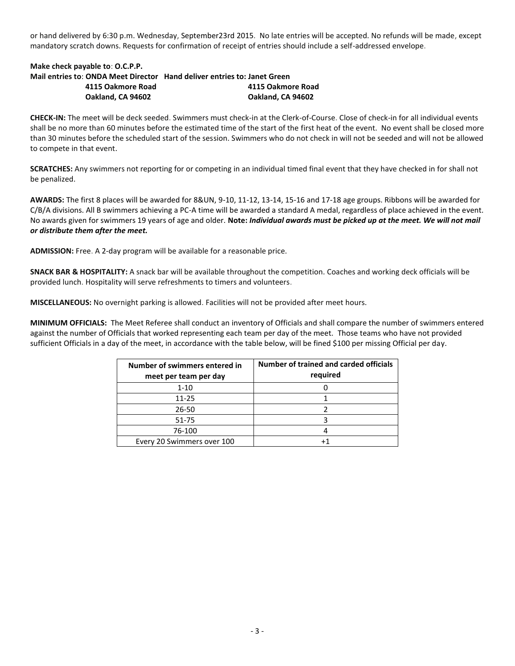or hand delivered by 6:30 p.m. Wednesday, September23rd 2015. No late entries will be accepted. No refunds will be made, except mandatory scratch downs. Requests for confirmation of receipt of entries should include a self-addressed envelope.

## **Make check payable to**: **O.C.P.P. Mail entries to**: **ONDA Meet Director Hand deliver entries to: Janet Green 4115 Oakmore Road 4115 Oakmore Road Oakland, CA 94602 Oakland, CA 94602**

**CHECK-IN:** The meet will be deck seeded. Swimmers must check-in at the Clerk-of-Course. Close of check-in for all individual events shall be no more than 60 minutes before the estimated time of the start of the first heat of the event. No event shall be closed more than 30 minutes before the scheduled start of the session. Swimmers who do not check in will not be seeded and will not be allowed to compete in that event.

**SCRATCHES:** Any swimmers not reporting for or competing in an individual timed final event that they have checked in for shall not be penalized.

**AWARDS:** The first 8 places will be awarded for 8&UN, 9-10, 11-12, 13-14, 15-16 and 17-18 age groups. Ribbons will be awarded for C/B/A divisions. All B swimmers achieving a PC-A time will be awarded a standard A medal, regardless of place achieved in the event. No awards given for swimmers 19 years of age and older. **Note:** *Individual awards must be picked up at the meet. We will not mail or distribute them after the meet.*

**ADMISSION:** Free. A 2-day program will be available for a reasonable price.

**SNACK BAR & HOSPITALITY:** A snack bar will be available throughout the competition. Coaches and working deck officials will be provided lunch. Hospitality will serve refreshments to timers and volunteers.

**MISCELLANEOUS:** No overnight parking is allowed. Facilities will not be provided after meet hours.

**MINIMUM OFFICIALS:** The Meet Referee shall conduct an inventory of Officials and shall compare the number of swimmers entered against the number of Officials that worked representing each team per day of the meet. Those teams who have not provided sufficient Officials in a day of the meet, in accordance with the table below, will be fined \$100 per missing Official per day.

| Number of swimmers entered in<br>meet per team per day | Number of trained and carded officials<br>required |
|--------------------------------------------------------|----------------------------------------------------|
| $1 - 10$                                               |                                                    |
| $11 - 25$                                              |                                                    |
| 26-50                                                  |                                                    |
| 51-75                                                  |                                                    |
| 76-100                                                 |                                                    |
| Every 20 Swimmers over 100                             |                                                    |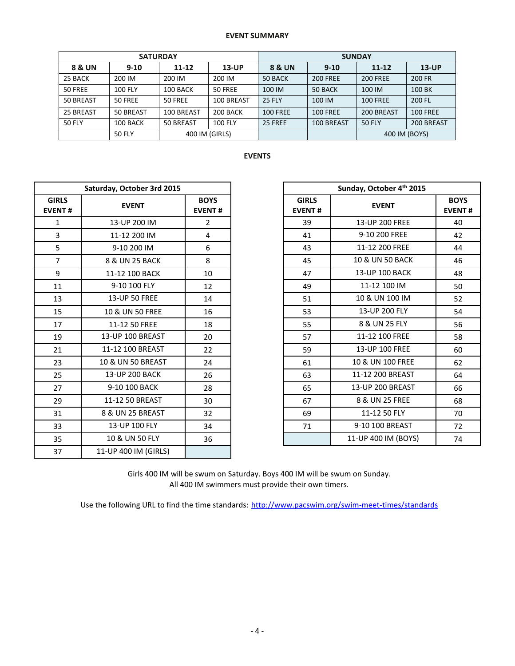## **EVENT SUMMARY**

|               | <b>SATURDAY</b> |                |            | <b>SUNDAY</b>   |                 |                 |                 |  |  |
|---------------|-----------------|----------------|------------|-----------------|-----------------|-----------------|-----------------|--|--|
| 8 & UN        | $9 - 10$        | $11 - 12$      | $13$ -UP   | 8 & UN          | $9 - 10$        | $11 - 12$       | $13$ -UP        |  |  |
| 25 BACK       | 200 IM          | 200 IM         | 200 IM     | 50 BACK         | <b>200 FREE</b> | <b>200 FREE</b> | 200 FR          |  |  |
| 50 FREE       | <b>100 FLY</b>  | 100 BACK       | 50 FREE    | 100 IM          | 50 BACK         | 100 IM          | 100 BK          |  |  |
| 50 BREAST     | 50 FREE         | 50 FREE        | 100 BREAST | <b>25 FLY</b>   | 100 IM          | <b>100 FREE</b> | 200 FL          |  |  |
| 25 BREAST     | 50 BREAST       | 100 BREAST     | 200 BACK   | <b>100 FREE</b> | <b>100 FREE</b> | 200 BREAST      | <b>100 FREE</b> |  |  |
| <b>50 FLY</b> | 100 BACK        | 50 BREAST      | 100 FLY    | 25 FREE         | 100 BREAST      | <b>50 FLY</b>   | 200 BREAST      |  |  |
|               | <b>50 FLY</b>   | 400 IM (GIRLS) |            |                 |                 | 400 IM (BOYS)   |                 |  |  |

## **EVENTS**

|                               | Saturday, October 3rd 2015 |                              | Sunday, October 4             |                 |
|-------------------------------|----------------------------|------------------------------|-------------------------------|-----------------|
| <b>GIRLS</b><br><b>EVENT#</b> | <b>EVENT</b>               | <b>BOYS</b><br><b>EVENT#</b> | <b>GIRLS</b><br><b>EVENT#</b> | <b>EVENT</b>    |
| $\mathbf{1}$                  | 13-UP 200 IM               | $\overline{2}$               | 39                            | 13-UP 200 FR    |
| 3                             | 11-12 200 IM               | 4                            | 41                            | 9-10 200 FRE    |
| 5                             | 9-10 200 IM                | 6                            | 43                            | 11-12 200 FR    |
| $\overline{7}$                | 8 & UN 25 BACK             | 8                            | 45                            | 10 & UN 50 BA   |
| 9                             | 11-12 100 BACK             | 10                           | 47                            | 13-UP 100 BA    |
| 11                            | 9-10 100 FLY               | 12                           | 49                            | 11-12 100 IN    |
| 13                            | 13-UP 50 FREE              | 14                           | 51                            | 10 & UN 100     |
| 15                            | 10 & UN 50 FREE            | 16                           | 53                            | 13-UP 200 FL    |
| 17                            | 11-12 50 FREE              | 18                           | 55                            | 8 & UN 25 FL    |
| 19                            | 13-UP 100 BREAST           | 20                           | 57                            | 11-12 100 FR    |
| 21                            | 11-12 100 BREAST           | 22                           | 59                            | 13-UP 100 FR    |
| 23                            | 10 & UN 50 BREAST          | 24                           | 61                            | 10 & UN 100 F   |
| 25                            | 13-UP 200 BACK             | 26                           | 63                            | 11-12 200 BRE.  |
| 27                            | 9-10 100 BACK              | 28                           | 65                            | 13-UP 200 BRE   |
| 29                            | 11-12 50 BREAST            | 30                           | 67                            | 8 & UN 25 FR    |
| 31                            | 8 & UN 25 BREAST           | 32                           | 69                            | 11-12 50 FL'    |
| 33                            | 13-UP 100 FLY              | 34                           | 71                            | 9-10 100 BREA   |
| 35                            | 10 & UN 50 FLY             | 36                           |                               | 11-UP 400 IM (B |
| 37                            | 11-UP 400 IM (GIRLS)       |                              |                               |                 |

|                     | Saturday, October 3rd 2015 |                              |                               | Sunday, October 4th 2015   |                              |  |  |
|---------------------|----------------------------|------------------------------|-------------------------------|----------------------------|------------------------------|--|--|
| <b>IRLS</b><br>ENT# | <b>EVENT</b>               | <b>BOYS</b><br><b>EVENT#</b> | <b>GIRLS</b><br><b>EVENT#</b> | <b>EVENT</b>               | <b>BOYS</b><br><b>EVENT#</b> |  |  |
| $\mathbf{1}$        | 13-UP 200 IM               | $\overline{2}$               | 39                            | 13-UP 200 FREE             | 40                           |  |  |
| $\overline{3}$      | 11-12 200 IM               | 4                            | 41                            | 9-10 200 FREE              | 42                           |  |  |
| $\overline{5}$      | 9-10 200 IM                | 6                            | 43                            | 11-12 200 FREE             | 44                           |  |  |
| $\overline{7}$      | 8 & UN 25 BACK             | 8                            | 45                            | <b>10 &amp; UN 50 BACK</b> | 46                           |  |  |
| $\boldsymbol{9}$    | 11-12 100 BACK             | 10                           | 47                            | 13-UP 100 BACK             | 48                           |  |  |
| 11                  | 9-10 100 FLY               | 12                           | 49                            | 11-12 100 IM               | 50                           |  |  |
| 13                  | 13-UP 50 FREE              | 14                           | 51                            | 10 & UN 100 IM             | 52                           |  |  |
| 15                  | 10 & UN 50 FREE            | 16                           | 53                            | 13-UP 200 FLY              | 54                           |  |  |
| 17                  | 11-12 50 FREE              | 18                           | 55                            | 8 & UN 25 FLY              | 56                           |  |  |
| 19                  | 13-UP 100 BREAST           | 20                           | 57                            | 11-12 100 FREE             | 58                           |  |  |
| 21                  | 11-12 100 BREAST           | 22                           | 59                            | 13-UP 100 FREE             | 60                           |  |  |
| 23                  | 10 & UN 50 BREAST          | 24                           | 61                            | 10 & UN 100 FREE           | 62                           |  |  |
| 25                  | 13-UP 200 BACK             | 26                           | 63                            | 11-12 200 BREAST           | 64                           |  |  |
| 27                  | 9-10 100 BACK              | 28                           | 65                            | <b>13-UP 200 BREAST</b>    | 66                           |  |  |
| 29                  | 11-12 50 BREAST            | 30                           | 67                            | 8 & UN 25 FREE             | 68                           |  |  |
| 31                  | 8 & UN 25 BREAST           | 32                           | 69                            | 11-12 50 FLY               | 70                           |  |  |
| 33                  | 13-UP 100 FLY              | 34                           | 71                            | 9-10 100 BREAST            | 72                           |  |  |
| 35                  | 10 & UN 50 FLY             | 36                           |                               | 11-UP 400 IM (BOYS)        | 74                           |  |  |
|                     |                            |                              |                               |                            |                              |  |  |

Girls 400 IM will be swum on Saturday. Boys 400 IM will be swum on Sunday. All 400 IM swimmers must provide their own timers.

Use the following URL to find the time standards: <http://www.pacswim.org/swim-meet-times/standards>